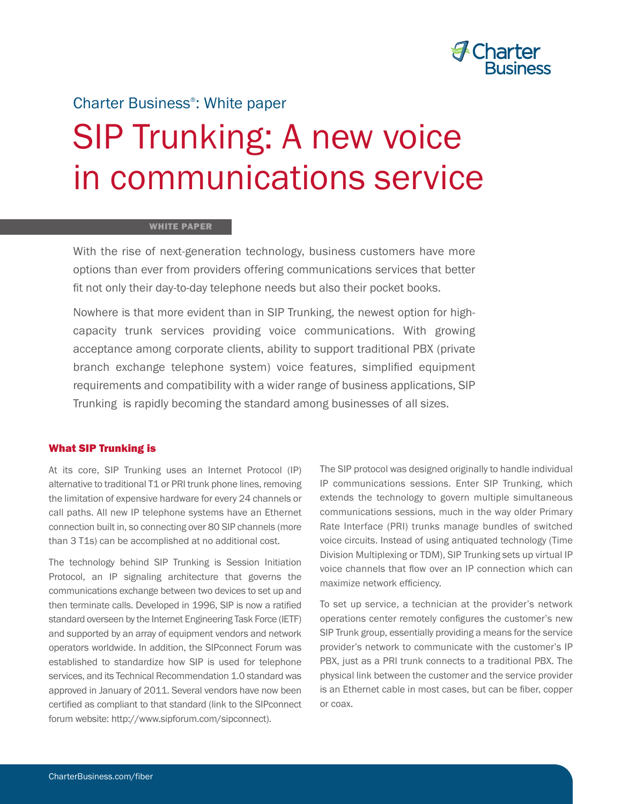

### Charter Business® : White paper

## SIP Trunking: A new voice in communications service

#### **WHITE PAPER**

With the rise of next-generation technology, business customers have more options than ever from providers offering communications services that better fit not only their day-to-day telephone needs but also their pocket books.

Nowhere is that more evident than in SIP Trunking, the newest option for highcapacity trunk services providing voice communications. With growing acceptance among corporate clients, ability to support traditional PBX (private branch exchange telephone system) voice features, simplified equipment requirements and compatibility with a wider range of business applications, SIP Trunking is rapidly becoming the standard among businesses of all sizes.

#### **What SIP Trunking is**

At its core, SIP Trunking uses an Internet Protocol (IP) alternative to traditional T1 or PRI trunk phone lines, removing the limitation of expensive hardware for every 24 channels or call paths. All new IP telephone systems have an Ethernet connection built in, so connecting over 80 SIP channels (more than 3 T1s) can be accomplished at no additional cost.

The technology behind SIP Trunking is Session Initiation Protocol, an IP signaling architecture that governs the communications exchange between two devices to set up and then terminate calls. Developed in 1996, SIP is now a ratified standard overseen by the Internet Engineering Task Force (IETF) and supported by an array of equipment vendors and network operators worldwide. In addition, the SIPconnect Forum was established to standardize how SIP is used for telephone services, and its Technical Recommendation 1.0 standard was approved in January of 2011. Several vendors have now been certified as compliant to that standard (link to the SIPconnect forum website: http://www.sipforum.com/sipconnect).

The SIP protocol was designed originally to handle individual IP communications sessions. Enter SIP Trunking, which extends the technology to govern multiple simultaneous communications sessions, much in the way older Primary Rate Interface (PRI) trunks manage bundles of switched voice circuits. Instead of using antiquated technology (Time Division Multiplexing or TDM), SIP Trunking sets up virtual IP voice channels that flow over an IP connection which can maximize network efficiency.

To set up service, a technician at the provider's network operations center remotely configures the customer's new SIP Trunk group, essentially providing a means for the service provider's network to communicate with the customer's IP PBX, just as a PRI trunk connects to a traditional PBX. The physical link between the customer and the service provider is an Ethernet cable in most cases, but can be fiber, copper or coax.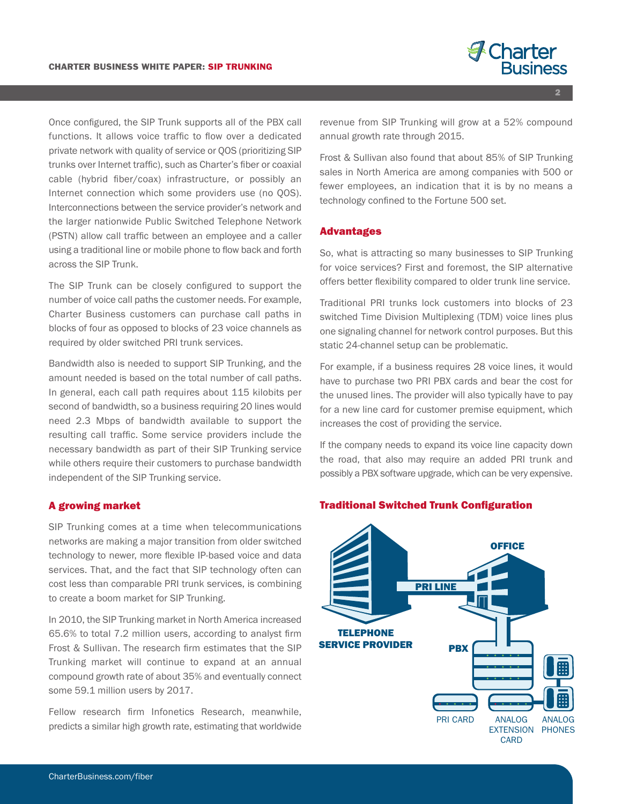

**2**

Once configured, the SIP Trunk supports all of the PBX call functions. It allows voice traffic to flow over a dedicated private network with quality of service or QOS (prioritizing SIP trunks over Internet traffic), such as Charter's fiber or coaxial cable (hybrid fiber/coax) infrastructure, or possibly an Internet connection which some providers use (no QOS). Interconnections between the service provider's network and the larger nationwide Public Switched Telephone Network (PSTN) allow call traffic between an employee and a caller using a traditional line or mobile phone to flow back and forth across the SIP Trunk.

The SIP Trunk can be closely configured to support the number of voice call paths the customer needs. For example, Charter Business customers can purchase call paths in blocks of four as opposed to blocks of 23 voice channels as required by older switched PRI trunk services.

Bandwidth also is needed to support SIP Trunking, and the amount needed is based on the total number of call paths. In general, each call path requires about 115 kilobits per second of bandwidth, so a business requiring 20 lines would need 2.3 Mbps of bandwidth available to support the resulting call traffic. Some service providers include the necessary bandwidth as part of their SIP Trunking service while others require their customers to purchase bandwidth independent of the SIP Trunking service.

#### **A growing market**

SIP Trunking comes at a time when telecommunications networks are making a major transition from older switched technology to newer, more flexible IP-based voice and data services. That, and the fact that SIP technology often can cost less than comparable PRI trunk services, is combining to create a boom market for SIP Trunking.

In 2010, the SIP Trunking market in North America increased 65.6% to total 7.2 million users, according to analyst firm Frost & Sullivan. The research firm estimates that the SIP Trunking market will continue to expand at an annual compound growth rate of about 35% and eventually connect some 59.1 million users by 2017.

Fellow research firm Infonetics Research, meanwhile, predicts a similar high growth rate, estimating that worldwide revenue from SIP Trunking will grow at a 52% compound annual growth rate through 2015.

Frost & Sullivan also found that about 85% of SIP Trunking sales in North America are among companies with 500 or fewer employees, an indication that it is by no means a technology confined to the Fortune 500 set.

#### **Advantages**

So, what is attracting so many businesses to SIP Trunking for voice services? First and foremost, the SIP alternative offers better flexibility compared to older trunk line service.

Traditional PRI trunks lock customers into blocks of 23 switched Time Division Multiplexing (TDM) voice lines plus one signaling channel for network control purposes. But this static 24-channel setup can be problematic.

For example, if a business requires 28 voice lines, it would have to purchase two PRI PBX cards and bear the cost for the unused lines. The provider will also typically have to pay for a new line card for customer premise equipment, which increases the cost of providing the service.

If the company needs to expand its voice line capacity down the road, that also may require an added PRI trunk and possibly a PBX software upgrade, which can be very expensive.

#### **Traditional Switched Trunk Configuration**

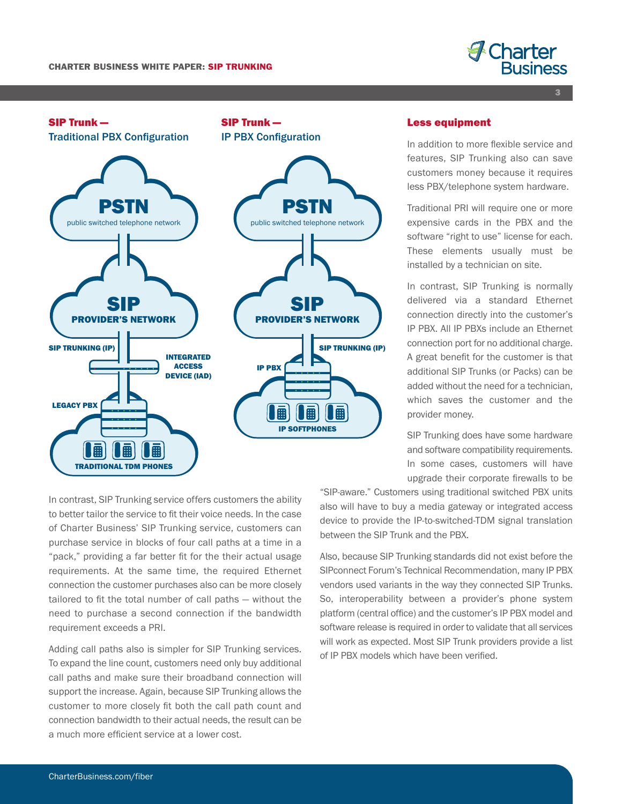

**3**



#### **Less equipment**

In addition to more flexible service and features, SIP Trunking also can save customers money because it requires less PBX/telephone system hardware.

Traditional PRI will require one or more expensive cards in the PBX and the software "right to use" license for each. These elements usually must be installed by a technician on site.

In contrast, SIP Trunking is normally delivered via a standard Ethernet connection directly into the customer's IP PBX. All IP PBXs include an Ethernet connection port for no additional charge. A great benefit for the customer is that additional SIP Trunks (or Packs) can be added without the need for a technician, which saves the customer and the provider money.

SIP Trunking does have some hardware and software compatibility requirements. In some cases, customers will have upgrade their corporate firewalls to be

In contrast, SIP Trunking service offers customers the ability to better tailor the service to fit their voice needs. In the case of Charter Business' SIP Trunking service, customers can purchase service in blocks of four call paths at a time in a "pack," providing a far better fit for the their actual usage requirements. At the same time, the required Ethernet connection the customer purchases also can be more closely tailored to fit the total number of call paths — without the need to purchase a second connection if the bandwidth requirement exceeds a PRI.

Adding call paths also is simpler for SIP Trunking services. To expand the line count, customers need only buy additional call paths and make sure their broadband connection will support the increase. Again, because SIP Trunking allows the customer to more closely fit both the call path count and connection bandwidth to their actual needs, the result can be a much more efficient service at a lower cost.

"SIP-aware." Customers using traditional switched PBX units also will have to buy a media gateway or integrated access device to provide the IP-to-switched-TDM signal translation between the SIP Trunk and the PBX.

Also, because SIP Trunking standards did not exist before the SIPconnect Forum's Technical Recommendation, many IP PBX vendors used variants in the way they connected SIP Trunks. So, interoperability between a provider's phone system platform (central office) and the customer's IP PBX model and software release is required in order to validate that all services will work as expected. Most SIP Trunk providers provide a list of IP PBX models which have been verified.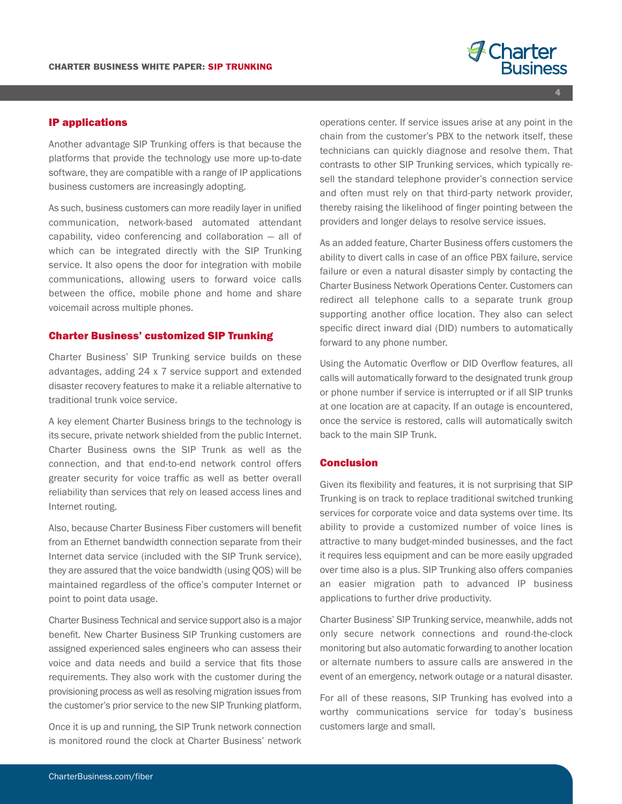# **A** Charter

**IP applications**

Another advantage SIP Trunking offers is that because the platforms that provide the technology use more up-to-date software, they are compatible with a range of IP applications business customers are increasingly adopting.

As such, business customers can more readily layer in unified communication, network-based automated attendant capability, video conferencing and collaboration — all of which can be integrated directly with the SIP Trunking service. It also opens the door for integration with mobile communications, allowing users to forward voice calls between the office, mobile phone and home and share voicemail across multiple phones.

#### **Charter Business' customized SIP Trunking**

Charter Business' SIP Trunking service builds on these advantages, adding 24 x 7 service support and extended disaster recovery features to make it a reliable alternative to traditional trunk voice service.

A key element Charter Business brings to the technology is its secure, private network shielded from the public Internet. Charter Business owns the SIP Trunk as well as the connection, and that end-to-end network control offers greater security for voice traffic as well as better overall reliability than services that rely on leased access lines and Internet routing.

Also, because Charter Business Fiber customers will benefit from an Ethernet bandwidth connection separate from their Internet data service (included with the SIP Trunk service), they are assured that the voice bandwidth (using QOS) will be maintained regardless of the office's computer Internet or point to point data usage.

Charter Business Technical and service support also is a major benefit. New Charter Business SIP Trunking customers are assigned experienced sales engineers who can assess their voice and data needs and build a service that fits those requirements. They also work with the customer during the provisioning process as well as resolving migration issues from the customer's prior service to the new SIP Trunking platform.

Once it is up and running, the SIP Trunk network connection is monitored round the clock at Charter Business' network

operations center. If service issues arise at any point in the chain from the customer's PBX to the network itself, these technicians can quickly diagnose and resolve them. That contrasts to other SIP Trunking services, which typically resell the standard telephone provider's connection service and often must rely on that third-party network provider, thereby raising the likelihood of finger pointing between the providers and longer delays to resolve service issues.

As an added feature, Charter Business offers customers the ability to divert calls in case of an office PBX failure, service failure or even a natural disaster simply by contacting the Charter Business Network Operations Center. Customers can redirect all telephone calls to a separate trunk group supporting another office location. They also can select specific direct inward dial (DID) numbers to automatically forward to any phone number.

Using the Automatic Overflow or DID Overflow features, all calls will automatically forward to the designated trunk group or phone number if service is interrupted or if all SIP trunks at one location are at capacity. If an outage is encountered, once the service is restored, calls will automatically switch back to the main SIP Trunk.

#### **Conclusion**

Given its flexibility and features, it is not surprising that SIP Trunking is on track to replace traditional switched trunking services for corporate voice and data systems over time. Its ability to provide a customized number of voice lines is attractive to many budget-minded businesses, and the fact it requires less equipment and can be more easily upgraded over time also is a plus. SIP Trunking also offers companies an easier migration path to advanced IP business applications to further drive productivity.

Charter Business' SIP Trunking service, meanwhile, adds not only secure network connections and round-the-clock monitoring but also automatic forwarding to another location or alternate numbers to assure calls are answered in the event of an emergency, network outage or a natural disaster.

For all of these reasons, SIP Trunking has evolved into a worthy communications service for today's business customers large and small.

**4**